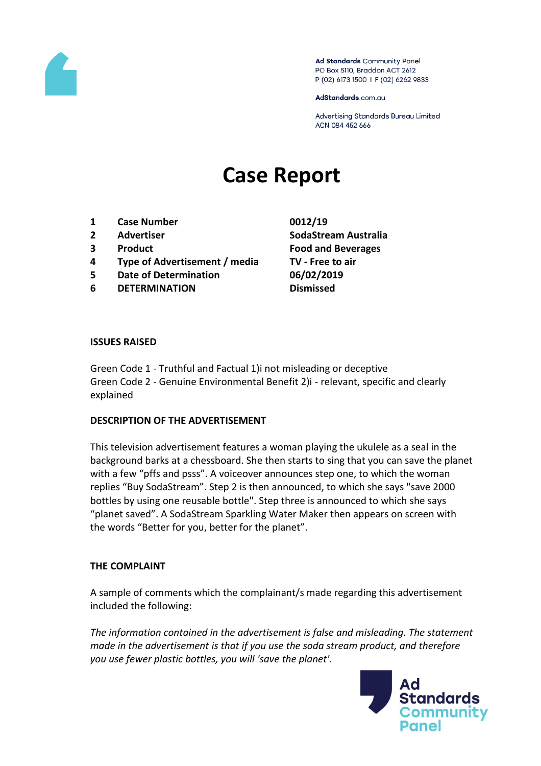

Ad Standards Community Panel PO Box 5110, Braddon ACT 2612 P (02) 6173 1500 | F (02) 6262 9833

AdStandards.com.au

Advertising Standards Bureau Limited ACN 084 452 666

# **Case Report**

- **1 Case Number 0012/19**
- 
- 
- **4 Type of Advertisement / media TV - Free to air**
- **5 Date of Determination 06/02/2019**
- **6 DETERMINATION Dismissed**

**2 Advertiser SodaStream Australia 3 Product Food and Beverages**

#### **ISSUES RAISED**

Green Code 1 - Truthful and Factual 1)i not misleading or deceptive Green Code 2 - Genuine Environmental Benefit 2)i - relevant, specific and clearly explained

### **DESCRIPTION OF THE ADVERTISEMENT**

This television advertisement features a woman playing the ukulele as a seal in the background barks at a chessboard. She then starts to sing that you can save the planet with a few "pffs and psss". A voiceover announces step one, to which the woman replies "Buy SodaStream". Step 2 is then announced, to which she says "save 2000 bottles by using one reusable bottle". Step three is announced to which she says "planet saved". A SodaStream Sparkling Water Maker then appears on screen with the words "Better for you, better for the planet".

### **THE COMPLAINT**

A sample of comments which the complainant/s made regarding this advertisement included the following:

*The information contained in the advertisement is false and misleading. The statement made in the advertisement is that if you use the soda stream product, and therefore you use fewer plastic bottles, you will 'save the planet'.*

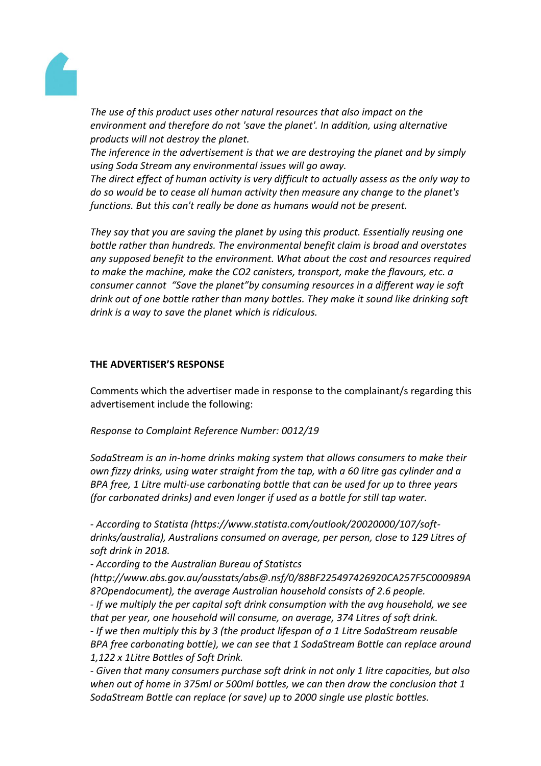

*The use of this product uses other natural resources that also impact on the environment and therefore do not 'save the planet'. In addition, using alternative products will not destroy the planet.*

*The inference in the advertisement is that we are destroying the planet and by simply using Soda Stream any environmental issues will go away.*

*The direct effect of human activity is very difficult to actually assess as the only way to do so would be to cease all human activity then measure any change to the planet's functions. But this can't really be done as humans would not be present.*

*They say that you are saving the planet by using this product. Essentially reusing one bottle rather than hundreds. The environmental benefit claim is broad and overstates any supposed benefit to the environment. What about the cost and resources required to make the machine, make the CO2 canisters, transport, make the flavours, etc. a consumer cannot "Save the planet"by consuming resources in a different way ie soft drink out of one bottle rather than many bottles. They make it sound like drinking soft drink is a way to save the planet which is ridiculous.*

### **THE ADVERTISER'S RESPONSE**

Comments which the advertiser made in response to the complainant/s regarding this advertisement include the following:

*Response to Complaint Reference Number: 0012/19*

*SodaStream is an in-home drinks making system that allows consumers to make their own fizzy drinks, using water straight from the tap, with a 60 litre gas cylinder and a BPA free, 1 Litre multi-use carbonating bottle that can be used for up to three years (for carbonated drinks) and even longer if used as a bottle for still tap water.*

*- According to Statista (https://www.statista.com/outlook/20020000/107/softdrinks/australia), Australians consumed on average, per person, close to 129 Litres of soft drink in 2018.*

*- According to the Australian Bureau of Statistcs* 

*(http://www.abs.gov.au/ausstats/abs@.nsf/0/88BF225497426920CA257F5C000989A 8?Opendocument), the average Australian household consists of 2.6 people.*

*- If we multiply the per capital soft drink consumption with the avg household, we see that per year, one household will consume, on average, 374 Litres of soft drink.*

*- If we then multiply this by 3 (the product lifespan of a 1 Litre SodaStream reusable BPA free carbonating bottle), we can see that 1 SodaStream Bottle can replace around 1,122 x 1Litre Bottles of Soft Drink.*

*- Given that many consumers purchase soft drink in not only 1 litre capacities, but also when out of home in 375ml or 500ml bottles, we can then draw the conclusion that 1 SodaStream Bottle can replace (or save) up to 2000 single use plastic bottles.*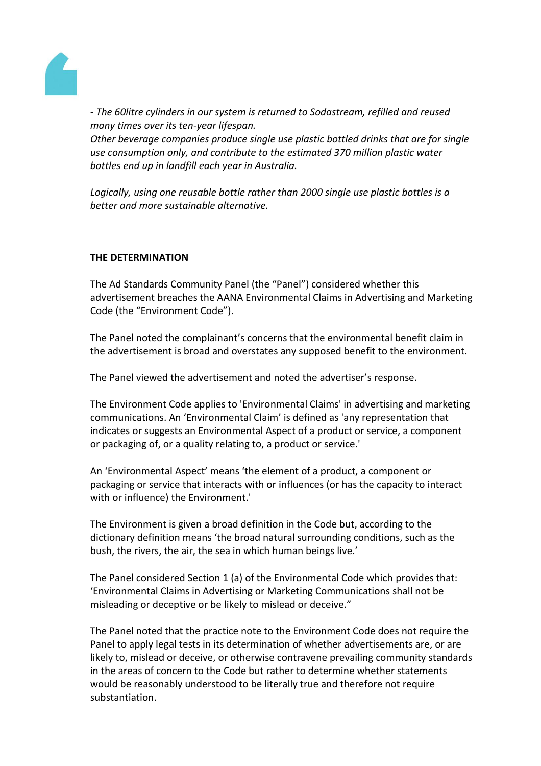

*- The 60litre cylinders in our system is returned to Sodastream, refilled and reused many times over its ten-year lifespan.*

*Other beverage companies produce single use plastic bottled drinks that are for single use consumption only, and contribute to the estimated 370 million plastic water bottles end up in landfill each year in Australia.*

*Logically, using one reusable bottle rather than 2000 single use plastic bottles is a better and more sustainable alternative.*

## **THE DETERMINATION**

The Ad Standards Community Panel (the "Panel") considered whether this advertisement breaches the AANA Environmental Claims in Advertising and Marketing Code (the "Environment Code").

The Panel noted the complainant's concerns that the environmental benefit claim in the advertisement is broad and overstates any supposed benefit to the environment.

The Panel viewed the advertisement and noted the advertiser's response.

The Environment Code applies to 'Environmental Claims' in advertising and marketing communications. An 'Environmental Claim' is defined as 'any representation that indicates or suggests an Environmental Aspect of a product or service, a component or packaging of, or a quality relating to, a product or service.'

An 'Environmental Aspect' means 'the element of a product, a component or packaging or service that interacts with or influences (or has the capacity to interact with or influence) the Environment.'

The Environment is given a broad definition in the Code but, according to the dictionary definition means 'the broad natural surrounding conditions, such as the bush, the rivers, the air, the sea in which human beings live.'

The Panel considered Section 1 (a) of the Environmental Code which provides that: 'Environmental Claims in Advertising or Marketing Communications shall not be misleading or deceptive or be likely to mislead or deceive."

The Panel noted that the practice note to the Environment Code does not require the Panel to apply legal tests in its determination of whether advertisements are, or are likely to, mislead or deceive, or otherwise contravene prevailing community standards in the areas of concern to the Code but rather to determine whether statements would be reasonably understood to be literally true and therefore not require substantiation.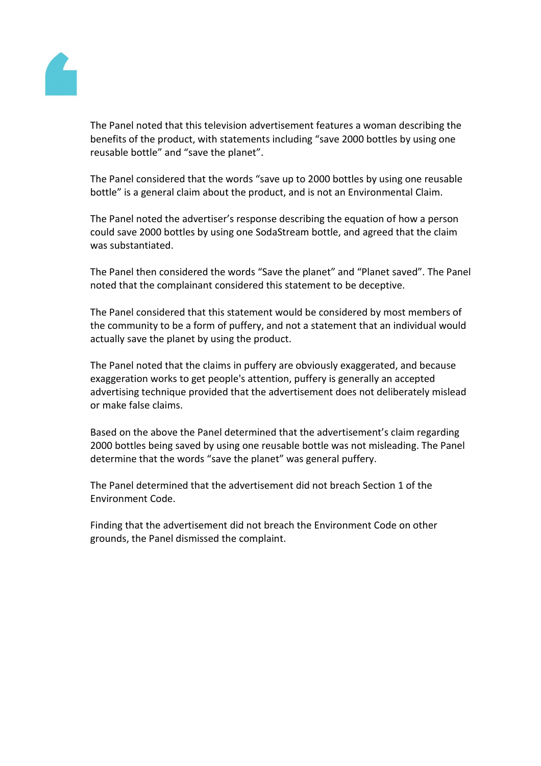

The Panel noted that this television advertisement features a woman describing the benefits of the product, with statements including "save 2000 bottles by using one reusable bottle" and "save the planet".

The Panel considered that the words "save up to 2000 bottles by using one reusable bottle" is a general claim about the product, and is not an Environmental Claim.

The Panel noted the advertiser's response describing the equation of how a person could save 2000 bottles by using one SodaStream bottle, and agreed that the claim was substantiated.

The Panel then considered the words "Save the planet" and "Planet saved". The Panel noted that the complainant considered this statement to be deceptive.

The Panel considered that this statement would be considered by most members of the community to be a form of puffery, and not a statement that an individual would actually save the planet by using the product.

The Panel noted that the claims in puffery are obviously exaggerated, and because exaggeration works to get people's attention, puffery is generally an accepted advertising technique provided that the advertisement does not deliberately mislead or make false claims.

Based on the above the Panel determined that the advertisement's claim regarding 2000 bottles being saved by using one reusable bottle was not misleading. The Panel determine that the words "save the planet" was general puffery.

The Panel determined that the advertisement did not breach Section 1 of the Environment Code.

Finding that the advertisement did not breach the Environment Code on other grounds, the Panel dismissed the complaint.